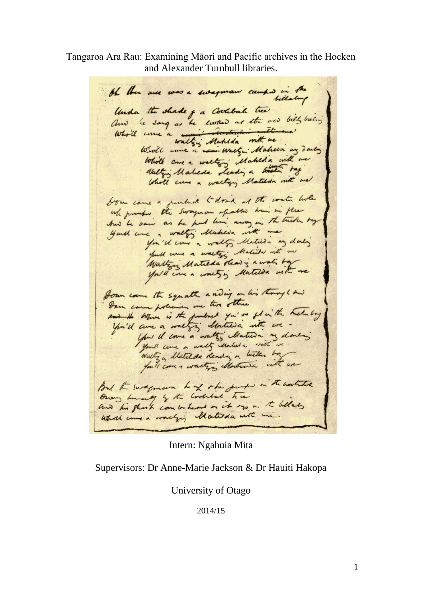Tangaroa Ara Rau: Examining Māori and Pacific archives in the Hocken and Alexander Turnbull libraries.

the there was a swegman camped in the bellalong Under the shade of a Coolbal tree and he sang as he worked as the own billy busing Wrote ame a wai wastyn' Mahwa my darly While come a walter; Makeda with we Walty's Maleda Leading a track tog Who'll came a waltery Matilda with me bom came a puntack to don't at the water live wh promps the swagman spatter him in the And he sain as he had him away in the trieden tag Guill and a walter Makera with me you'll come a wally Matilda my donly full come a water's Matilda with me Waltzon Matilda show is a wall by you'll come a worty in Matica with me Soun came the squath a riding on his through his Dann came policinen ine two other and the whom is the fundred you've flow the heat boy You'd care a meeting destreva int we you il come a walter Matura my domens you'll come a wally Matura with me . Waltz a Matilda dending a little boy forti care + walters Montresa with we But the swagman had the just in the watches Owens hunning of the Coolital tree and his glash can be heard on it was in the belles What came a working Matida with me.

Intern: Ngahuia Mita

Supervisors: Dr Anne-Marie Jackson & Dr Hauiti Hakopa

University of Otago

2014/15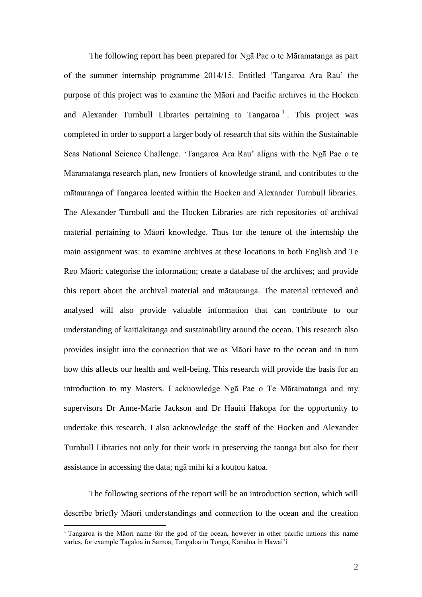The following report has been prepared for Ngā Pae o te Māramatanga as part of the summer internship programme 2014/15. Entitled 'Tangaroa Ara Rau' the purpose of this project was to examine the Māori and Pacific archives in the Hocken and Alexander Turnbull Libraries pertaining to Tangaroa<sup>1</sup>. This project was completed in order to support a larger body of research that sits within the Sustainable Seas National Science Challenge. 'Tangaroa Ara Rau' aligns with the Ngā Pae o te Māramatanga research plan, new frontiers of knowledge strand, and contributes to the mātauranga of Tangaroa located within the Hocken and Alexander Turnbull libraries. The Alexander Turnbull and the Hocken Libraries are rich repositories of archival material pertaining to Māori knowledge. Thus for the tenure of the internship the main assignment was: to examine archives at these locations in both English and Te Reo Māori; categorise the information; create a database of the archives; and provide this report about the archival material and mātauranga. The material retrieved and analysed will also provide valuable information that can contribute to our understanding of kaitiakitanga and sustainability around the ocean. This research also provides insight into the connection that we as Māori have to the ocean and in turn how this affects our health and well-being. This research will provide the basis for an introduction to my Masters. I acknowledge Ngā Pae o Te Māramatanga and my supervisors Dr Anne-Marie Jackson and Dr Hauiti Hakopa for the opportunity to undertake this research. I also acknowledge the staff of the Hocken and Alexander Turnbull Libraries not only for their work in preserving the taonga but also for their assistance in accessing the data; ngā mihi ki a koutou katoa.

The following sections of the report will be an introduction section, which will describe briefly Māori understandings and connection to the ocean and the creation

 $\overline{a}$ 

<sup>&</sup>lt;sup>1</sup> Tangaroa is the Māori name for the god of the ocean, however in other pacific nations this name varies, for example Tagaloa in Samoa, Tangaloa in Tonga, Kanaloa in Hawai'i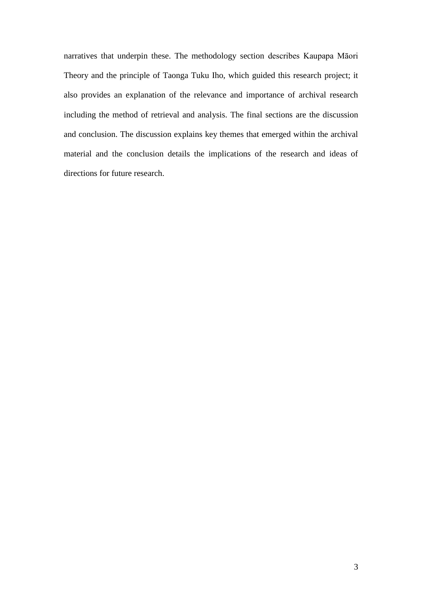narratives that underpin these. The methodology section describes Kaupapa Māori Theory and the principle of Taonga Tuku Iho, which guided this research project; it also provides an explanation of the relevance and importance of archival research including the method of retrieval and analysis. The final sections are the discussion and conclusion. The discussion explains key themes that emerged within the archival material and the conclusion details the implications of the research and ideas of directions for future research.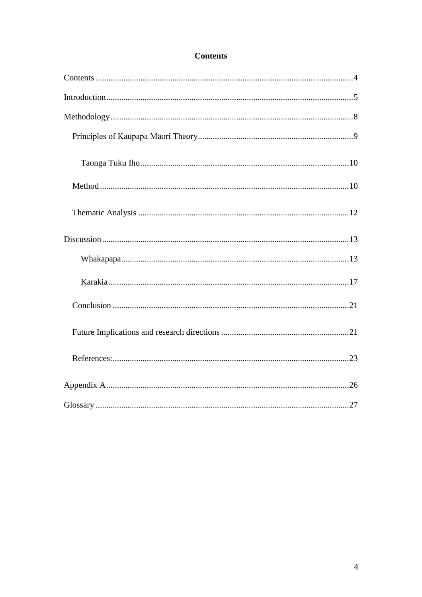# **Contents**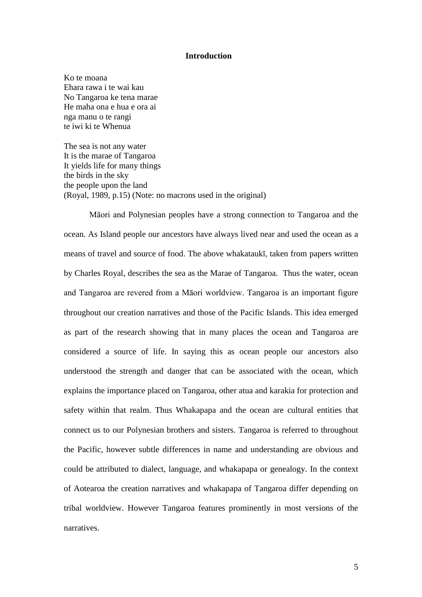#### **Introduction**

Ko te moana Ehara rawa i te wai kau No Tangaroa ke tena marae He maha ona e hua e ora ai nga manu o te rangi te iwi ki te Whenua

The sea is not any water It is the marae of Tangaroa It yields life for many things the birds in the sky the people upon the land (Royal, 1989, p.15) (Note: no macrons used in the original)

Māori and Polynesian peoples have a strong connection to Tangaroa and the ocean. As Island people our ancestors have always lived near and used the ocean as a means of travel and source of food. The above whakataukī, taken from papers written by Charles Royal, describes the sea as the Marae of Tangaroa. Thus the water, ocean and Tangaroa are revered from a Māori worldview. Tangaroa is an important figure throughout our creation narratives and those of the Pacific Islands. This idea emerged as part of the research showing that in many places the ocean and Tangaroa are considered a source of life. In saying this as ocean people our ancestors also understood the strength and danger that can be associated with the ocean, which explains the importance placed on Tangaroa, other atua and karakia for protection and safety within that realm. Thus Whakapapa and the ocean are cultural entities that connect us to our Polynesian brothers and sisters. Tangaroa is referred to throughout the Pacific, however subtle differences in name and understanding are obvious and could be attributed to dialect, language, and whakapapa or genealogy. In the context of Aotearoa the creation narratives and whakapapa of Tangaroa differ depending on tribal worldview. However Tangaroa features prominently in most versions of the narratives.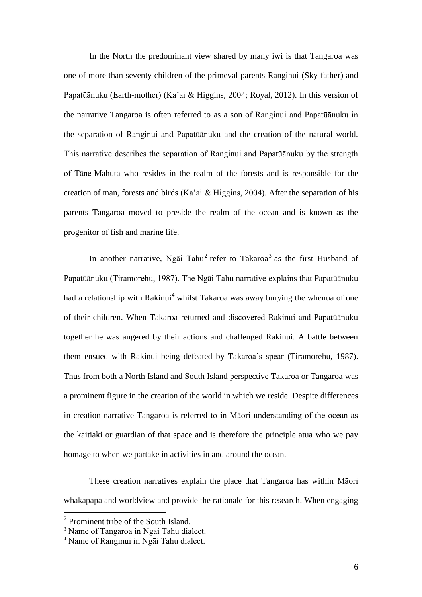In the North the predominant view shared by many iwi is that Tangaroa was one of more than seventy children of the primeval parents Ranginui (Sky-father) and Papatūānuku (Earth-mother) (Ka'ai & Higgins, 2004; Royal, 2012). In this version of the narrative Tangaroa is often referred to as a son of Ranginui and Papatūānuku in the separation of Ranginui and Papatūānuku and the creation of the natural world. This narrative describes the separation of Ranginui and Papatūānuku by the strength of Tāne-Mahuta who resides in the realm of the forests and is responsible for the creation of man, forests and birds (Ka'ai & Higgins, 2004). After the separation of his parents Tangaroa moved to preside the realm of the ocean and is known as the progenitor of fish and marine life.

In another narrative, Ngāi Tahu<sup>2</sup> refer to Takaroa<sup>3</sup> as the first Husband of Papatūānuku (Tiramorehu, 1987). The Ngāi Tahu narrative explains that Papatūānuku had a relationship with Rakinui<sup>4</sup> whilst Takaroa was away burying the whenua of one of their children. When Takaroa returned and discovered Rakinui and Papatūānuku together he was angered by their actions and challenged Rakinui. A battle between them ensued with Rakinui being defeated by Takaroa's spear (Tiramorehu, 1987). Thus from both a North Island and South Island perspective Takaroa or Tangaroa was a prominent figure in the creation of the world in which we reside. Despite differences in creation narrative Tangaroa is referred to in Māori understanding of the ocean as the kaitiaki or guardian of that space and is therefore the principle atua who we pay homage to when we partake in activities in and around the ocean.

These creation narratives explain the place that Tangaroa has within Māori whakapapa and worldview and provide the rationale for this research. When engaging

 $\overline{a}$ 

<sup>&</sup>lt;sup>2</sup> Prominent tribe of the South Island.

<sup>3</sup> Name of Tangaroa in Ngāi Tahu dialect.

<sup>4</sup> Name of Ranginui in Ngāi Tahu dialect.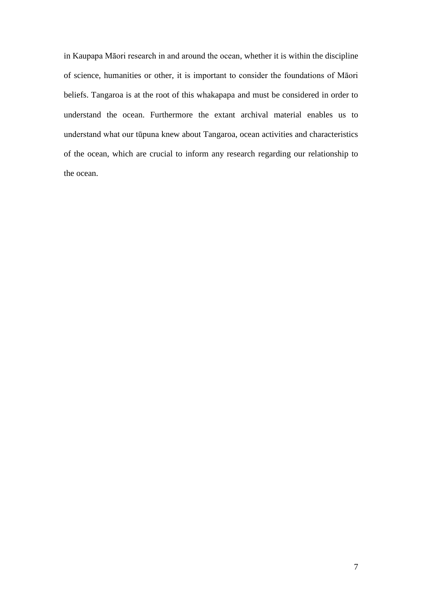in Kaupapa Māori research in and around the ocean, whether it is within the discipline of science, humanities or other, it is important to consider the foundations of Māori beliefs. Tangaroa is at the root of this whakapapa and must be considered in order to understand the ocean. Furthermore the extant archival material enables us to understand what our tūpuna knew about Tangaroa, ocean activities and characteristics of the ocean, which are crucial to inform any research regarding our relationship to the ocean.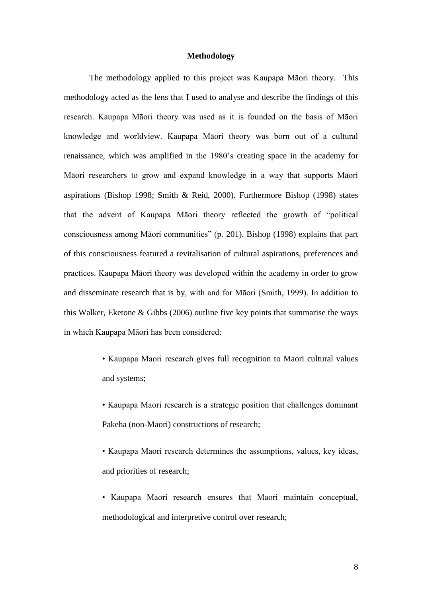# **Methodology**

The methodology applied to this project was Kaupapa Māori theory. This methodology acted as the lens that I used to analyse and describe the findings of this research. Kaupapa Māori theory was used as it is founded on the basis of Māori knowledge and worldview. Kaupapa Māori theory was born out of a cultural renaissance, which was amplified in the 1980's creating space in the academy for Māori researchers to grow and expand knowledge in a way that supports Māori aspirations (Bishop 1998; Smith & Reid, 2000). Furthermore Bishop (1998) states that the advent of Kaupapa Māori theory reflected the growth of "political consciousness among Māori communities" (p. 201). Bishop (1998) explains that part of this consciousness featured a revitalisation of cultural aspirations, preferences and practices. Kaupapa Māori theory was developed within the academy in order to grow and disseminate research that is by, with and for Māori (Smith, 1999). In addition to this Walker, Eketone & Gibbs (2006) outline five key points that summarise the ways in which Kaupapa Māori has been considered:

- Kaupapa Maori research gives full recognition to Maori cultural values and systems;
- Kaupapa Maori research is a strategic position that challenges dominant Pakeha (non-Maori) constructions of research;
- Kaupapa Maori research determines the assumptions, values, key ideas, and priorities of research;
- Kaupapa Maori research ensures that Maori maintain conceptual, methodological and interpretive control over research;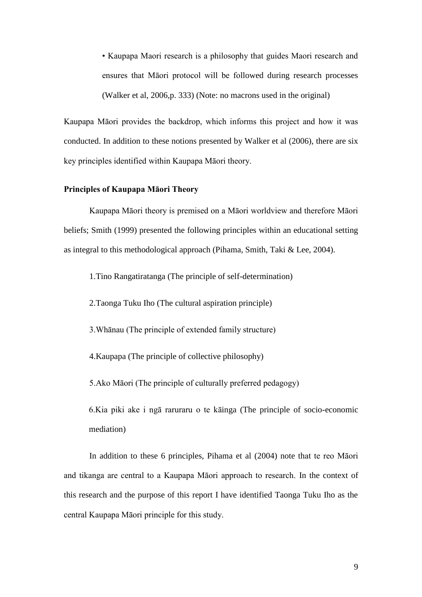• Kaupapa Maori research is a philosophy that guides Maori research and ensures that Māori protocol will be followed during research processes (Walker et al, 2006,p. 333) (Note: no macrons used in the original)

Kaupapa Māori provides the backdrop, which informs this project and how it was conducted. In addition to these notions presented by Walker et al (2006), there are six key principles identified within Kaupapa Māori theory.

#### **Principles of Kaupapa Māori Theory**

Kaupapa Māori theory is premised on a Māori worldview and therefore Māori beliefs; Smith (1999) presented the following principles within an educational setting as integral to this methodological approach (Pihama, Smith, Taki & Lee, 2004).

1.Tino Rangatiratanga (The principle of self-determination)

2.Taonga Tuku Iho (The cultural aspiration principle)

3.Whānau (The principle of extended family structure)

4.Kaupapa (The principle of collective philosophy)

5.Ako Māori (The principle of culturally preferred pedagogy)

6.Kia piki ake i ngā raruraru o te kāinga (The principle of socio-economic mediation)

In addition to these 6 principles, Pihama et al (2004) note that te reo Māori and tikanga are central to a Kaupapa Māori approach to research. In the context of this research and the purpose of this report I have identified Taonga Tuku Iho as the central Kaupapa Māori principle for this study.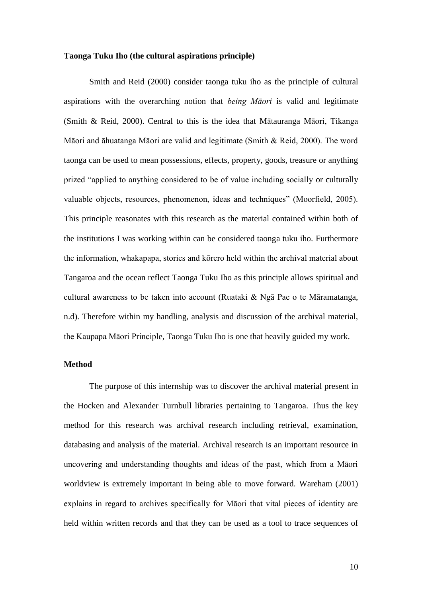# **Taonga Tuku Iho (the cultural aspirations principle)**

Smith and Reid (2000) consider taonga tuku iho as the principle of cultural aspirations with the overarching notion that *being Māori* is valid and legitimate (Smith & Reid, 2000). Central to this is the idea that Mātauranga Māori, Tikanga Māori and āhuatanga Māori are valid and legitimate (Smith & Reid, 2000). The word taonga can be used to mean possessions, effects, property, goods, treasure or anything prized "applied to anything considered to be of value including socially or culturally valuable objects, resources, phenomenon, ideas and techniques" (Moorfield, 2005). This principle reasonates with this research as the material contained within both of the institutions I was working within can be considered taonga tuku iho. Furthermore the information, whakapapa, stories and kōrero held within the archival material about Tangaroa and the ocean reflect Taonga Tuku Iho as this principle allows spiritual and cultural awareness to be taken into account (Ruataki & Ngā Pae o te Māramatanga, n.d). Therefore within my handling, analysis and discussion of the archival material, the Kaupapa Māori Principle, Taonga Tuku Iho is one that heavily guided my work.

### **Method**

The purpose of this internship was to discover the archival material present in the Hocken and Alexander Turnbull libraries pertaining to Tangaroa. Thus the key method for this research was archival research including retrieval, examination, databasing and analysis of the material. Archival research is an important resource in uncovering and understanding thoughts and ideas of the past, which from a Māori worldview is extremely important in being able to move forward. Wareham (2001) explains in regard to archives specifically for Māori that vital pieces of identity are held within written records and that they can be used as a tool to trace sequences of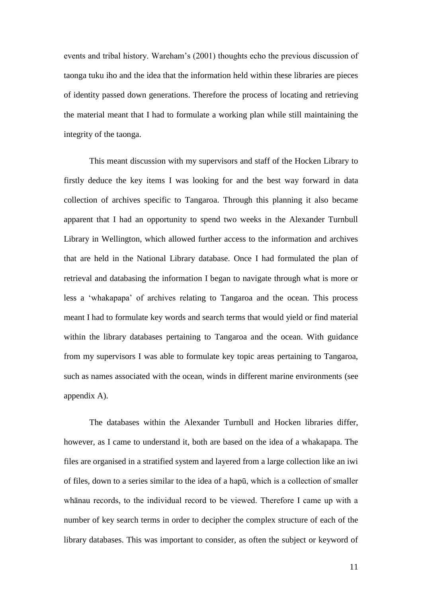events and tribal history. Wareham's (2001) thoughts echo the previous discussion of taonga tuku iho and the idea that the information held within these libraries are pieces of identity passed down generations. Therefore the process of locating and retrieving the material meant that I had to formulate a working plan while still maintaining the integrity of the taonga.

This meant discussion with my supervisors and staff of the Hocken Library to firstly deduce the key items I was looking for and the best way forward in data collection of archives specific to Tangaroa. Through this planning it also became apparent that I had an opportunity to spend two weeks in the Alexander Turnbull Library in Wellington, which allowed further access to the information and archives that are held in the National Library database. Once I had formulated the plan of retrieval and databasing the information I began to navigate through what is more or less a 'whakapapa' of archives relating to Tangaroa and the ocean. This process meant I had to formulate key words and search terms that would yield or find material within the library databases pertaining to Tangaroa and the ocean. With guidance from my supervisors I was able to formulate key topic areas pertaining to Tangaroa, such as names associated with the ocean, winds in different marine environments (see appendix A).

The databases within the Alexander Turnbull and Hocken libraries differ, however, as I came to understand it, both are based on the idea of a whakapapa. The files are organised in a stratified system and layered from a large collection like an iwi of files, down to a series similar to the idea of a hapū, which is a collection of smaller whānau records, to the individual record to be viewed. Therefore I came up with a number of key search terms in order to decipher the complex structure of each of the library databases. This was important to consider, as often the subject or keyword of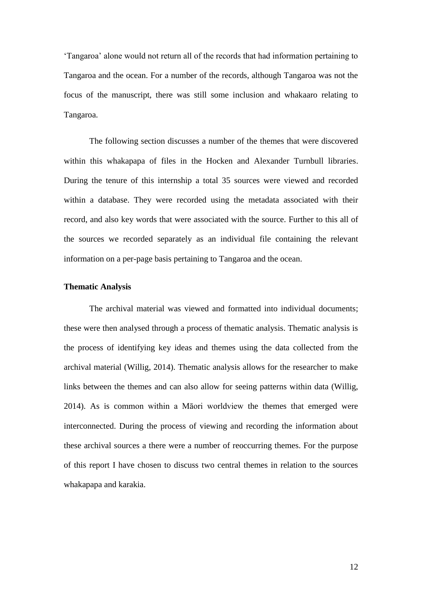'Tangaroa' alone would not return all of the records that had information pertaining to Tangaroa and the ocean. For a number of the records, although Tangaroa was not the focus of the manuscript, there was still some inclusion and whakaaro relating to Tangaroa.

The following section discusses a number of the themes that were discovered within this whakapapa of files in the Hocken and Alexander Turnbull libraries. During the tenure of this internship a total 35 sources were viewed and recorded within a database. They were recorded using the metadata associated with their record, and also key words that were associated with the source. Further to this all of the sources we recorded separately as an individual file containing the relevant information on a per-page basis pertaining to Tangaroa and the ocean.

# **Thematic Analysis**

The archival material was viewed and formatted into individual documents; these were then analysed through a process of thematic analysis. Thematic analysis is the process of identifying key ideas and themes using the data collected from the archival material (Willig, 2014). Thematic analysis allows for the researcher to make links between the themes and can also allow for seeing patterns within data (Willig, 2014). As is common within a Māori worldview the themes that emerged were interconnected. During the process of viewing and recording the information about these archival sources a there were a number of reoccurring themes. For the purpose of this report I have chosen to discuss two central themes in relation to the sources whakapapa and karakia.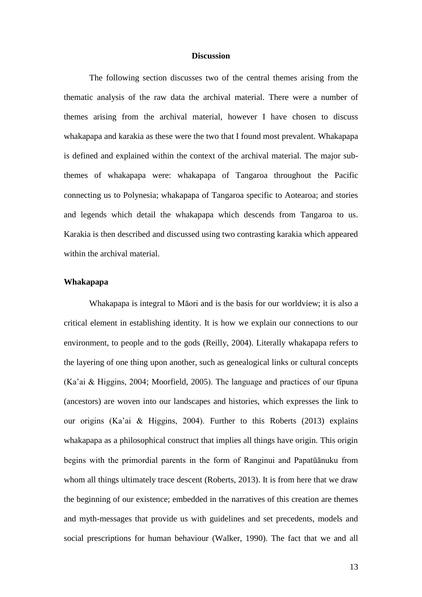### **Discussion**

The following section discusses two of the central themes arising from the thematic analysis of the raw data the archival material. There were a number of themes arising from the archival material, however I have chosen to discuss whakapapa and karakia as these were the two that I found most prevalent. Whakapapa is defined and explained within the context of the archival material. The major subthemes of whakapapa were: whakapapa of Tangaroa throughout the Pacific connecting us to Polynesia; whakapapa of Tangaroa specific to Aotearoa; and stories and legends which detail the whakapapa which descends from Tangaroa to us. Karakia is then described and discussed using two contrasting karakia which appeared within the archival material.

#### **Whakapapa**

Whakapapa is integral to Māori and is the basis for our worldview; it is also a critical element in establishing identity. It is how we explain our connections to our environment, to people and to the gods (Reilly, 2004). Literally whakapapa refers to the layering of one thing upon another, such as genealogical links or cultural concepts (Ka'ai & Higgins, 2004; Moorfield, 2005). The language and practices of our tīpuna (ancestors) are woven into our landscapes and histories, which expresses the link to our origins (Ka'ai & Higgins, 2004). Further to this Roberts (2013) explains whakapapa as a philosophical construct that implies all things have origin. This origin begins with the primordial parents in the form of Ranginui and Papatūānuku from whom all things ultimately trace descent (Roberts, 2013). It is from here that we draw the beginning of our existence; embedded in the narratives of this creation are themes and myth-messages that provide us with guidelines and set precedents, models and social prescriptions for human behaviour (Walker, 1990). The fact that we and all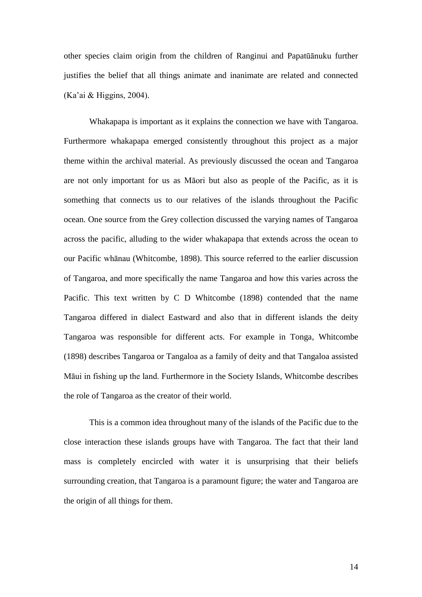other species claim origin from the children of Ranginui and Papatūānuku further justifies the belief that all things animate and inanimate are related and connected (Ka'ai & Higgins, 2004).

Whakapapa is important as it explains the connection we have with Tangaroa. Furthermore whakapapa emerged consistently throughout this project as a major theme within the archival material. As previously discussed the ocean and Tangaroa are not only important for us as Māori but also as people of the Pacific, as it is something that connects us to our relatives of the islands throughout the Pacific ocean. One source from the Grey collection discussed the varying names of Tangaroa across the pacific, alluding to the wider whakapapa that extends across the ocean to our Pacific whānau (Whitcombe, 1898). This source referred to the earlier discussion of Tangaroa, and more specifically the name Tangaroa and how this varies across the Pacific. This text written by C D Whitcombe (1898) contended that the name Tangaroa differed in dialect Eastward and also that in different islands the deity Tangaroa was responsible for different acts. For example in Tonga, Whitcombe (1898) describes Tangaroa or Tangaloa as a family of deity and that Tangaloa assisted Māui in fishing up the land. Furthermore in the Society Islands, Whitcombe describes the role of Tangaroa as the creator of their world.

This is a common idea throughout many of the islands of the Pacific due to the close interaction these islands groups have with Tangaroa. The fact that their land mass is completely encircled with water it is unsurprising that their beliefs surrounding creation, that Tangaroa is a paramount figure; the water and Tangaroa are the origin of all things for them.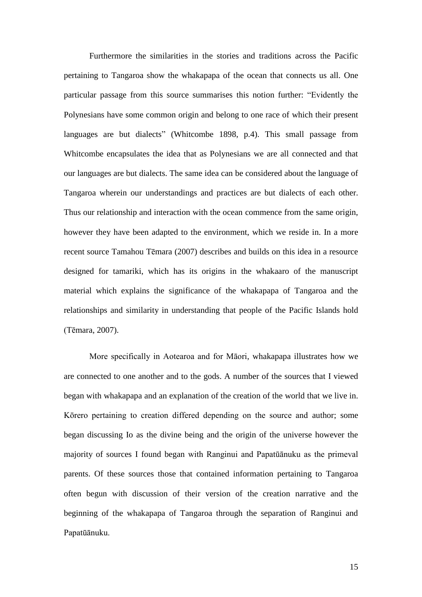Furthermore the similarities in the stories and traditions across the Pacific pertaining to Tangaroa show the whakapapa of the ocean that connects us all. One particular passage from this source summarises this notion further: "Evidently the Polynesians have some common origin and belong to one race of which their present languages are but dialects" (Whitcombe 1898, p.4). This small passage from Whitcombe encapsulates the idea that as Polynesians we are all connected and that our languages are but dialects. The same idea can be considered about the language of Tangaroa wherein our understandings and practices are but dialects of each other. Thus our relationship and interaction with the ocean commence from the same origin, however they have been adapted to the environment, which we reside in. In a more recent source Tamahou Tēmara (2007) describes and builds on this idea in a resource designed for tamariki, which has its origins in the whakaaro of the manuscript material which explains the significance of the whakapapa of Tangaroa and the relationships and similarity in understanding that people of the Pacific Islands hold (Tēmara, 2007).

More specifically in Aotearoa and for Māori, whakapapa illustrates how we are connected to one another and to the gods. A number of the sources that I viewed began with whakapapa and an explanation of the creation of the world that we live in. Kōrero pertaining to creation differed depending on the source and author; some began discussing Io as the divine being and the origin of the universe however the majority of sources I found began with Ranginui and Papatūānuku as the primeval parents. Of these sources those that contained information pertaining to Tangaroa often begun with discussion of their version of the creation narrative and the beginning of the whakapapa of Tangaroa through the separation of Ranginui and Papatūānuku.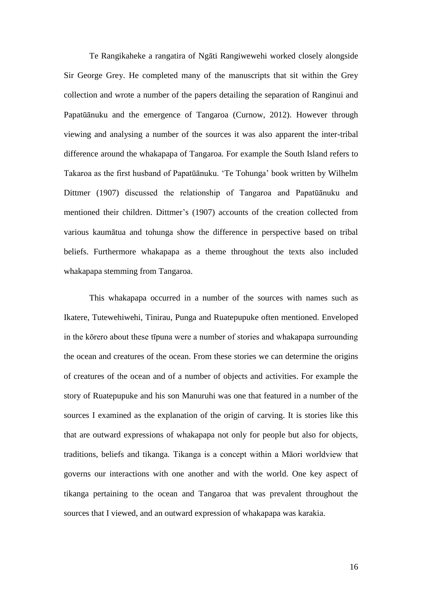Te Rangikaheke a rangatira of Ngāti Rangiwewehi worked closely alongside Sir George Grey. He completed many of the manuscripts that sit within the Grey collection and wrote a number of the papers detailing the separation of Ranginui and Papatūānuku and the emergence of Tangaroa (Curnow, 2012). However through viewing and analysing a number of the sources it was also apparent the inter-tribal difference around the whakapapa of Tangaroa. For example the South Island refers to Takaroa as the first husband of Papatūānuku. 'Te Tohunga' book written by Wilhelm Dittmer (1907) discussed the relationship of Tangaroa and Papatūānuku and mentioned their children. Dittmer's (1907) accounts of the creation collected from various kaumātua and tohunga show the difference in perspective based on tribal beliefs. Furthermore whakapapa as a theme throughout the texts also included whakapapa stemming from Tangaroa.

This whakapapa occurred in a number of the sources with names such as Ikatere, Tutewehiwehi, Tinirau, Punga and Ruatepupuke often mentioned. Enveloped in the kōrero about these tīpuna were a number of stories and whakapapa surrounding the ocean and creatures of the ocean. From these stories we can determine the origins of creatures of the ocean and of a number of objects and activities. For example the story of Ruatepupuke and his son Manuruhi was one that featured in a number of the sources I examined as the explanation of the origin of carving. It is stories like this that are outward expressions of whakapapa not only for people but also for objects, traditions, beliefs and tikanga. Tikanga is a concept within a Māori worldview that governs our interactions with one another and with the world. One key aspect of tikanga pertaining to the ocean and Tangaroa that was prevalent throughout the sources that I viewed, and an outward expression of whakapapa was karakia.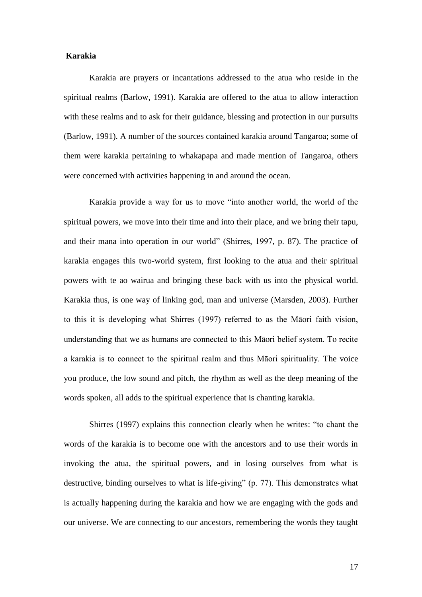# **Karakia**

Karakia are prayers or incantations addressed to the atua who reside in the spiritual realms (Barlow, 1991). Karakia are offered to the atua to allow interaction with these realms and to ask for their guidance, blessing and protection in our pursuits (Barlow, 1991). A number of the sources contained karakia around Tangaroa; some of them were karakia pertaining to whakapapa and made mention of Tangaroa, others were concerned with activities happening in and around the ocean.

Karakia provide a way for us to move "into another world, the world of the spiritual powers, we move into their time and into their place, and we bring their tapu, and their mana into operation in our world" (Shirres, 1997, p. 87). The practice of karakia engages this two-world system, first looking to the atua and their spiritual powers with te ao wairua and bringing these back with us into the physical world. Karakia thus, is one way of linking god, man and universe (Marsden, 2003). Further to this it is developing what Shirres (1997) referred to as the Māori faith vision, understanding that we as humans are connected to this Māori belief system. To recite a karakia is to connect to the spiritual realm and thus Māori spirituality. The voice you produce, the low sound and pitch, the rhythm as well as the deep meaning of the words spoken, all adds to the spiritual experience that is chanting karakia.

Shirres (1997) explains this connection clearly when he writes: "to chant the words of the karakia is to become one with the ancestors and to use their words in invoking the atua, the spiritual powers, and in losing ourselves from what is destructive, binding ourselves to what is life-giving" (p. 77). This demonstrates what is actually happening during the karakia and how we are engaging with the gods and our universe. We are connecting to our ancestors, remembering the words they taught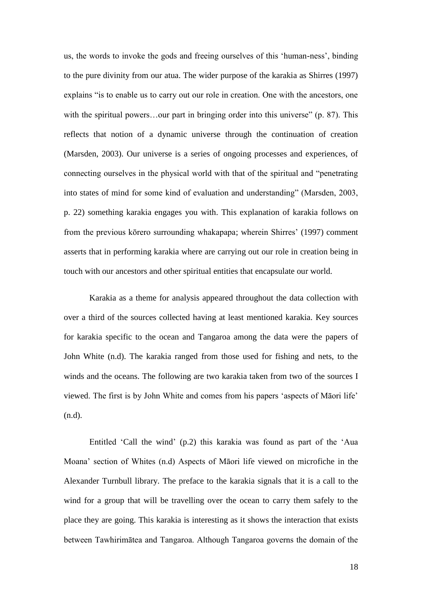us, the words to invoke the gods and freeing ourselves of this 'human-ness', binding to the pure divinity from our atua. The wider purpose of the karakia as Shirres (1997) explains "is to enable us to carry out our role in creation. One with the ancestors, one with the spiritual powers...our part in bringing order into this universe" (p. 87). This reflects that notion of a dynamic universe through the continuation of creation (Marsden, 2003). Our universe is a series of ongoing processes and experiences, of connecting ourselves in the physical world with that of the spiritual and "penetrating into states of mind for some kind of evaluation and understanding" (Marsden, 2003, p. 22) something karakia engages you with. This explanation of karakia follows on from the previous kōrero surrounding whakapapa; wherein Shirres' (1997) comment asserts that in performing karakia where are carrying out our role in creation being in touch with our ancestors and other spiritual entities that encapsulate our world.

Karakia as a theme for analysis appeared throughout the data collection with over a third of the sources collected having at least mentioned karakia. Key sources for karakia specific to the ocean and Tangaroa among the data were the papers of John White (n.d). The karakia ranged from those used for fishing and nets, to the winds and the oceans. The following are two karakia taken from two of the sources I viewed. The first is by John White and comes from his papers 'aspects of Māori life' (n.d).

Entitled 'Call the wind' (p.2) this karakia was found as part of the 'Aua Moana' section of Whites (n.d) Aspects of Māori life viewed on microfiche in the Alexander Turnbull library. The preface to the karakia signals that it is a call to the wind for a group that will be travelling over the ocean to carry them safely to the place they are going. This karakia is interesting as it shows the interaction that exists between Tawhirimātea and Tangaroa. Although Tangaroa governs the domain of the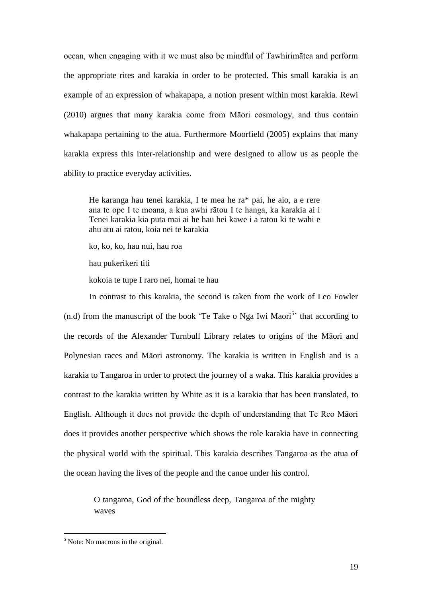ocean, when engaging with it we must also be mindful of Tawhirimātea and perform the appropriate rites and karakia in order to be protected. This small karakia is an example of an expression of whakapapa, a notion present within most karakia. Rewi (2010) argues that many karakia come from Māori cosmology, and thus contain whakapapa pertaining to the atua. Furthermore Moorfield (2005) explains that many karakia express this inter-relationship and were designed to allow us as people the ability to practice everyday activities.

He karanga hau tenei karakia, I te mea he ra\* pai, he aio, a e rere ana te ope I te moana, a kua awhi rātou I te hanga, ka karakia ai i Tenei karakia kia puta mai ai he hau hei kawe i a ratou ki te wahi e ahu atu ai ratou, koia nei te karakia

ko, ko, ko, hau nui, hau roa

hau pukerikeri titi

kokoia te tupe I raro nei, homai te hau

In contrast to this karakia, the second is taken from the work of Leo Fowler  $(n.d)$  from the manuscript of the book 'Te Take o Nga Iwi Maori<sup>5</sup>' that according to the records of the Alexander Turnbull Library relates to origins of the Māori and Polynesian races and Māori astronomy. The karakia is written in English and is a karakia to Tangaroa in order to protect the journey of a waka. This karakia provides a contrast to the karakia written by White as it is a karakia that has been translated, to English. Although it does not provide the depth of understanding that Te Reo Māori does it provides another perspective which shows the role karakia have in connecting the physical world with the spiritual. This karakia describes Tangaroa as the atua of the ocean having the lives of the people and the canoe under his control.

> O tangaroa, God of the boundless deep, Tangaroa of the mighty waves

 $<sup>5</sup>$  Note: No macrons in the original.</sup>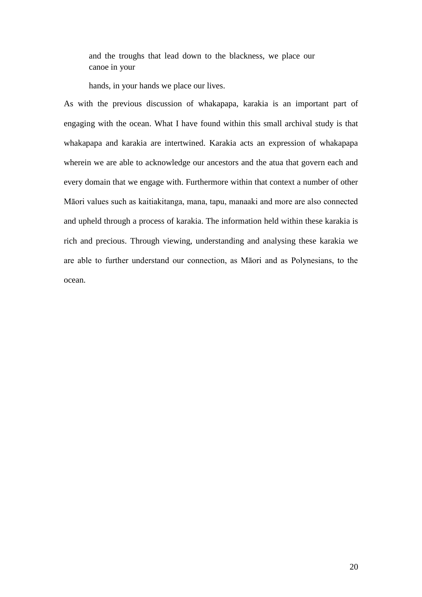and the troughs that lead down to the blackness, we place our canoe in your

hands, in your hands we place our lives.

As with the previous discussion of whakapapa, karakia is an important part of engaging with the ocean. What I have found within this small archival study is that whakapapa and karakia are intertwined. Karakia acts an expression of whakapapa wherein we are able to acknowledge our ancestors and the atua that govern each and every domain that we engage with. Furthermore within that context a number of other Māori values such as kaitiakitanga, mana, tapu, manaaki and more are also connected and upheld through a process of karakia. The information held within these karakia is rich and precious. Through viewing, understanding and analysing these karakia we are able to further understand our connection, as Māori and as Polynesians, to the ocean.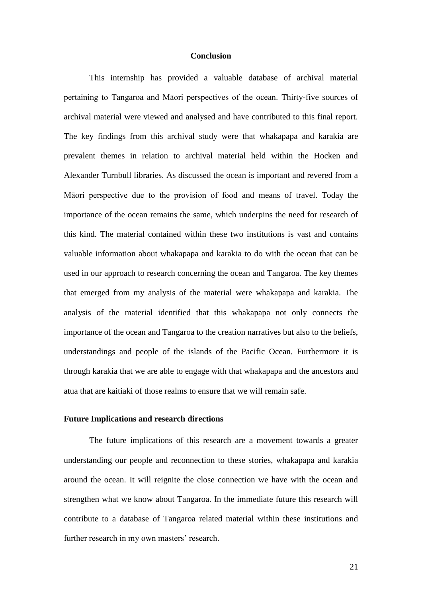# **Conclusion**

This internship has provided a valuable database of archival material pertaining to Tangaroa and Māori perspectives of the ocean. Thirty-five sources of archival material were viewed and analysed and have contributed to this final report. The key findings from this archival study were that whakapapa and karakia are prevalent themes in relation to archival material held within the Hocken and Alexander Turnbull libraries. As discussed the ocean is important and revered from a Māori perspective due to the provision of food and means of travel. Today the importance of the ocean remains the same, which underpins the need for research of this kind. The material contained within these two institutions is vast and contains valuable information about whakapapa and karakia to do with the ocean that can be used in our approach to research concerning the ocean and Tangaroa. The key themes that emerged from my analysis of the material were whakapapa and karakia. The analysis of the material identified that this whakapapa not only connects the importance of the ocean and Tangaroa to the creation narratives but also to the beliefs, understandings and people of the islands of the Pacific Ocean. Furthermore it is through karakia that we are able to engage with that whakapapa and the ancestors and atua that are kaitiaki of those realms to ensure that we will remain safe.

### **Future Implications and research directions**

The future implications of this research are a movement towards a greater understanding our people and reconnection to these stories, whakapapa and karakia around the ocean. It will reignite the close connection we have with the ocean and strengthen what we know about Tangaroa. In the immediate future this research will contribute to a database of Tangaroa related material within these institutions and further research in my own masters' research.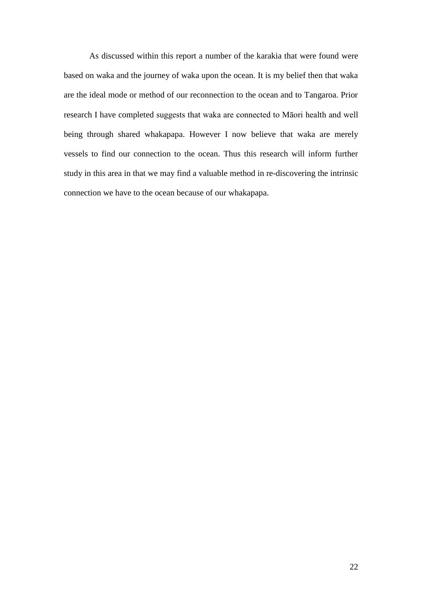As discussed within this report a number of the karakia that were found were based on waka and the journey of waka upon the ocean. It is my belief then that waka are the ideal mode or method of our reconnection to the ocean and to Tangaroa. Prior research I have completed suggests that waka are connected to Māori health and well being through shared whakapapa. However I now believe that waka are merely vessels to find our connection to the ocean. Thus this research will inform further study in this area in that we may find a valuable method in re-discovering the intrinsic connection we have to the ocean because of our whakapapa.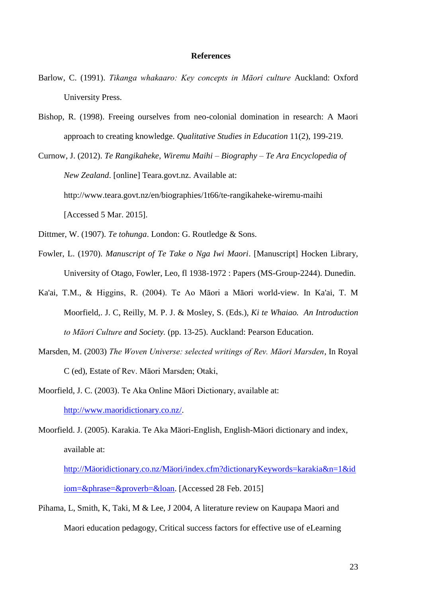# **References**

- Barlow, C. (1991). *Tikanga whakaaro: Key concepts in Māori culture* Auckland: Oxford University Press.
- Bishop, R. (1998). Freeing ourselves from neo-colonial domination in research: A Maori approach to creating knowledge. *Qualitative Studies in Education* 11(2), 199-219.
- Curnow, J. (2012). *Te Rangikaheke, Wiremu Maihi – Biography – Te Ara Encyclopedia of New Zealand*. [online] Teara.govt.nz. Available at: http://www.teara.govt.nz/en/biographies/1t66/te-rangikaheke-wiremu-maihi [Accessed 5 Mar. 2015].
- Dittmer, W. (1907). *Te tohunga*. London: G. Routledge & Sons.
- Fowler, L. (1970). *Manuscript of Te Take o Nga Iwi Maori*. [Manuscript] Hocken Library, University of Otago, Fowler, Leo, fl 1938-1972 : Papers (MS-Group-2244). Dunedin.
- Ka'ai, T.M., & Higgins, R. (2004). Te Ao Māori a Māori world-view. In Ka'ai, T. M Moorfield,. J. C, Reilly, M. P. J. & Mosley, S. (Eds.), *Ki te Whaiao. An Introduction to Māori Culture and Society.* (pp. 13-25). Auckland: Pearson Education.
- Marsden, M. (2003) *The Woven Universe: selected writings of Rev. Māori Marsden*, In Royal C (ed), Estate of Rev. Māori Marsden; Otaki,
- Moorfield, J. C. (2003). Te Aka Online Māori Dictionary, available at: [http://www.maoridictionary.co.nz/.](http://www.maoridictionary.co.nz/)
- Moorfield. J. (2005). Karakia. Te Aka Mäori-English, English-Mäori dictionary and index, available at:

[http://Mäoridictionary.co.nz/Mäori/index.cfm?dictionaryKeywords=karakia&n=1&id](http://mäoridictionary.co.nz/Mäori/index.cfm?dictionaryKeywords=karakia&n=1&idiom=&phrase=&proverb=&loan) [iom=&phrase=&proverb=&loan.](http://mäoridictionary.co.nz/Mäori/index.cfm?dictionaryKeywords=karakia&n=1&idiom=&phrase=&proverb=&loan) [Accessed 28 Feb. 2015]

Pihama, L, Smith, K, Taki, M & Lee, J 2004, A literature review on Kaupapa Maori and Maori education pedagogy, Critical success factors for effective use of eLearning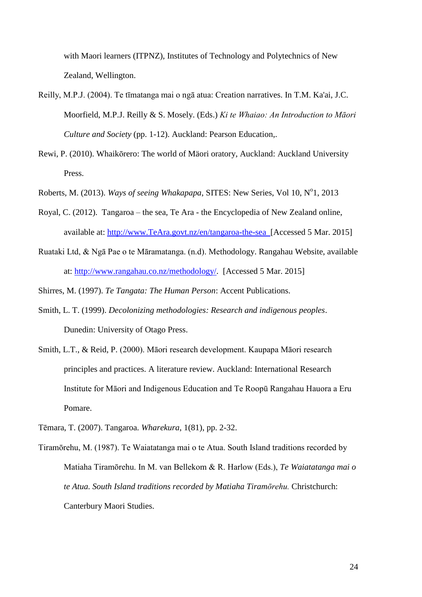with Maori learners (ITPNZ), Institutes of Technology and Polytechnics of New Zealand, Wellington.

- Reilly, M.P.J. (2004). Te tīmatanga mai o ngā atua: Creation narratives. In T.M. Ka'ai, J.C. Moorfield, M.P.J. Reilly & S. Mosely. (Eds.) *Ki te Whaiao: An Introduction to Māori Culture and Society* (pp. 1-12). Auckland: Pearson Education,.
- Rewi, P. (2010). Whaikōrero: The world of Mäori oratory, Auckland: Auckland University Press.
- Roberts, M. (2013). Ways of seeing Whakapapa, SITES: New Series, Vol 10, Nº1, 2013
- Royal, C. (2012). Tangaroa the sea, Te Ara the Encyclopedia of New Zealand online, available at: [http://www.TeAra.govt.nz/en/tangaroa-the-sea](http://www.teara.govt.nz/en/tangaroa-the-sea) [Accessed 5 Mar. 2015]
- Ruataki Ltd, & Ngā Pae o te Māramatanga. (n.d). Methodology. Rangahau Website, available at: [http://www.rangahau.co.nz/methodology/.](http://www.rangahau.co.nz/methodology/) [Accessed 5 Mar. 2015]

Shirres, M. (1997). *Te Tangata: The Human Person*: Accent Publications.

- Smith, L. T. (1999). *Decolonizing methodologies: Research and indigenous peoples*. Dunedin: University of Otago Press.
- Smith, L.T., & Reid, P. (2000). Māori research development. Kaupapa Māori research principles and practices. A literature review. Auckland: International Research Institute for Māori and Indigenous Education and Te Roopū Rangahau Hauora a Eru Pomare.

Tēmara, T. (2007). Tangaroa. *Wharekura*, 1(81), pp. 2-32.

Tiramōrehu, M. (1987). Te Waiatatanga mai o te Atua. South Island traditions recorded by Matiaha Tiramōrehu. In M. van Bellekom & R. Harlow (Eds.), *Te Waiatatanga mai o te Atua. South Island traditions recorded by Matiaha Tiramōrehu.* Christchurch: Canterbury Maori Studies.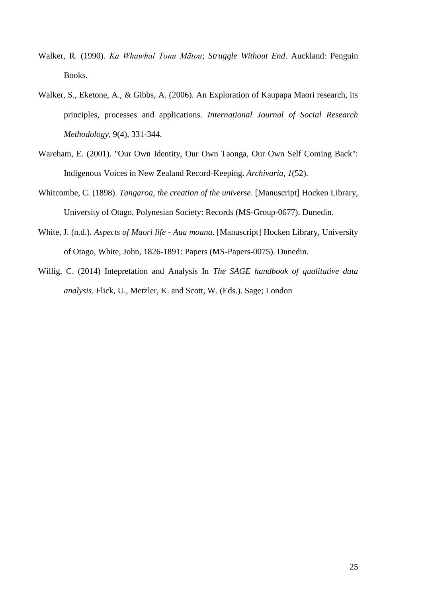- Walker, R. (1990). *Ka Whawhai Tonu Mātou*; *Struggle Without End*. Auckland: Penguin Books.
- Walker, S., Eketone, A., & Gibbs, A. (2006). An Exploration of Kaupapa Maori research, its principles, processes and applications. *International Journal of Social Research Methodology*, 9(4), 331-344.
- Wareham, E. (2001). "Our Own Identity, Our Own Taonga, Our Own Self Coming Back": Indigenous Voices in New Zealand Record-Keeping. *Archivaria*, *1*(52).
- Whitcombe, C. (1898). *Tangaroa, the creation of the universe*. [Manuscript] Hocken Library, University of Otago, Polynesian Society: Records (MS-Group-0677). Dunedin.
- White, J. (n.d.). *Aspects of Maori life - Aua moana*. [Manuscript] Hocken Library, University of Otago, White, John, 1826-1891: Papers (MS-Papers-0075). Dunedin.
- Willig, C. (2014) Intepretation and Analysis In *The SAGE handbook of qualitative data analysis*. Flick, U., Metzler, K. and Scott, W. (Eds.). Sage; London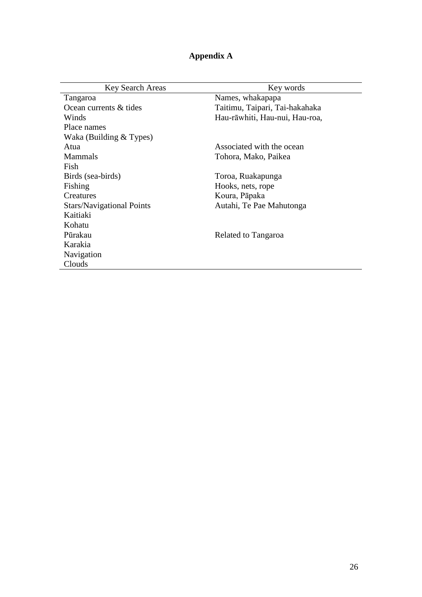| Appendix A |
|------------|
|------------|

| <b>Key Search Areas</b>          | Key words                      |
|----------------------------------|--------------------------------|
| Tangaroa                         | Names, whakapapa               |
| Ocean currents & tides           | Taitimu, Taipari, Tai-hakahaka |
| Winds                            | Hau-rāwhiti, Hau-nui, Hau-roa, |
| Place names                      |                                |
| Waka (Building & Types)          |                                |
| Atua                             | Associated with the ocean      |
| <b>Mammals</b>                   | Tohora, Mako, Paikea           |
| Fish                             |                                |
| Birds (sea-birds)                | Toroa, Ruakapunga              |
| Fishing                          | Hooks, nets, rope              |
| Creatures                        | Koura, Pāpaka                  |
| <b>Stars/Navigational Points</b> | Autahi, Te Pae Mahutonga       |
| Kaitiaki                         |                                |
| Kohatu                           |                                |
| Pūrakau                          | Related to Tangaroa            |
| Karakia                          |                                |
| Navigation                       |                                |
| Clouds                           |                                |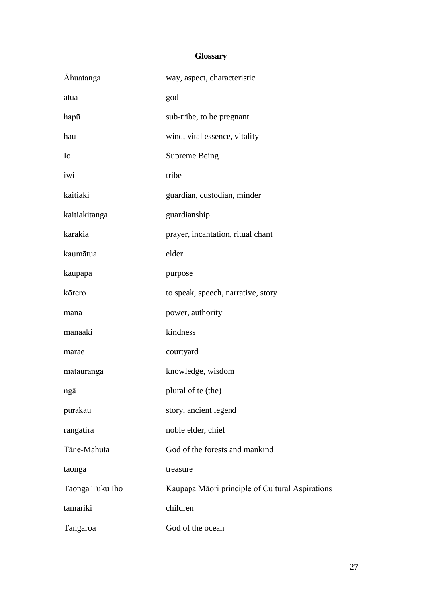# **Glossary**

| <b>Ahuatanga</b> | way, aspect, characteristic                     |
|------------------|-------------------------------------------------|
| atua             | god                                             |
| hapū             | sub-tribe, to be pregnant                       |
| hau              | wind, vital essence, vitality                   |
| I <sub>0</sub>   | <b>Supreme Being</b>                            |
| iwi              | tribe                                           |
| kaitiaki         | guardian, custodian, minder                     |
| kaitiakitanga    | guardianship                                    |
| karakia          | prayer, incantation, ritual chant               |
| kaumātua         | elder                                           |
| kaupapa          | purpose                                         |
| kōrero           | to speak, speech, narrative, story              |
| mana             | power, authority                                |
| manaaki          | kindness                                        |
| marae            | courtyard                                       |
| mātauranga       | knowledge, wisdom                               |
| ngā              | plural of te (the)                              |
| pūrākau          | story, ancient legend                           |
| rangatira        | noble elder, chief                              |
| Tāne-Mahuta      | God of the forests and mankind                  |
| taonga           | treasure                                        |
| Taonga Tuku Iho  | Kaupapa Māori principle of Cultural Aspirations |
| tamariki         | children                                        |
| Tangaroa         | God of the ocean                                |